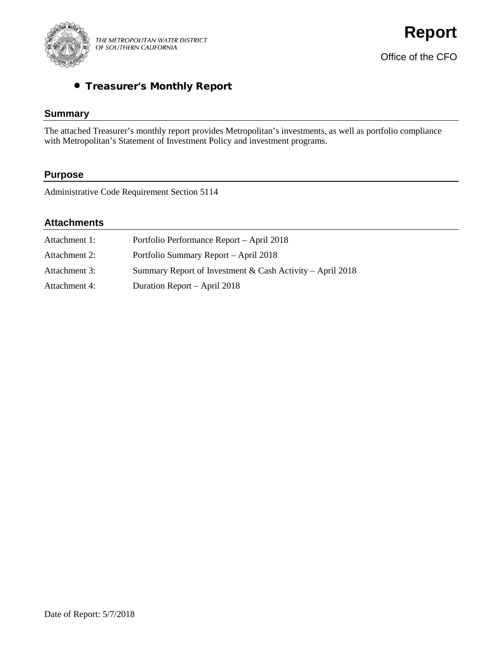

# • Treasurer's Monthly Report

# **Summary**

The attached Treasurer's monthly report provides Metropolitan's investments, as well as portfolio compliance with Metropolitan's Statement of Investment Policy and investment programs.

# **Purpose**

Administrative Code Requirement Section 5114

# **Attachments**

| Attachment 1: | Portfolio Performance Report - April 2018                 |
|---------------|-----------------------------------------------------------|
| Attachment 2: | Portfolio Summary Report - April 2018                     |
| Attachment 3: | Summary Report of Investment & Cash Activity – April 2018 |
| Attachment 4: | Duration Report – April 2018                              |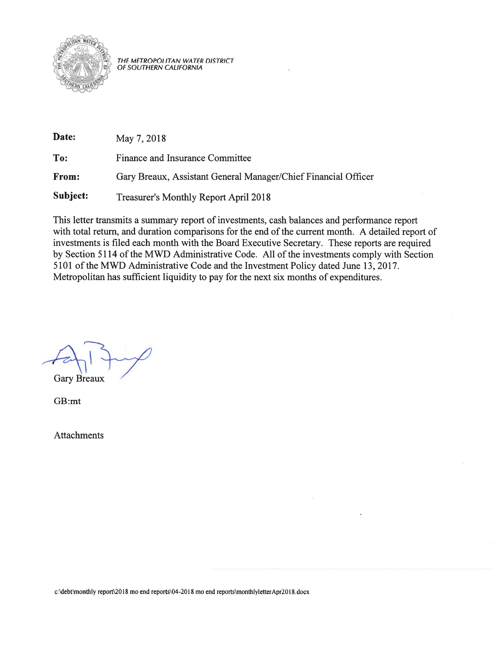

THE METROPOLITAN WATER DISTRICT<br>OF SOUTHERN CALIFORNIA

| Date:    | May 7, 2018                                                    |
|----------|----------------------------------------------------------------|
| To:      | Finance and Insurance Committee                                |
| From:    | Gary Breaux, Assistant General Manager/Chief Financial Officer |
| Subject: | <b>Treasurer's Monthly Report April 2018</b>                   |

This letter transmits a summary report of investments, cash balances and performance report with total return, and duration comparisons for the end of the current month. A detailed report of investments is filed each month with the Board Executive Secretary. These reports are required by Section 5114 of the MWD Administrative Code. All of the investments comply with Section 5101 of the MWD Administrative Code and the Investment Policy dated June 13, 2017. Metropolitan has sufficient liquidity to pay for the next six months of expenditures.

**Gary Breaux** 

GB:mt

**Attachments** 

c:\debt\monthly report\2018 mo end reports\04-2018 mo end reports\monthlyletterApr2018.docx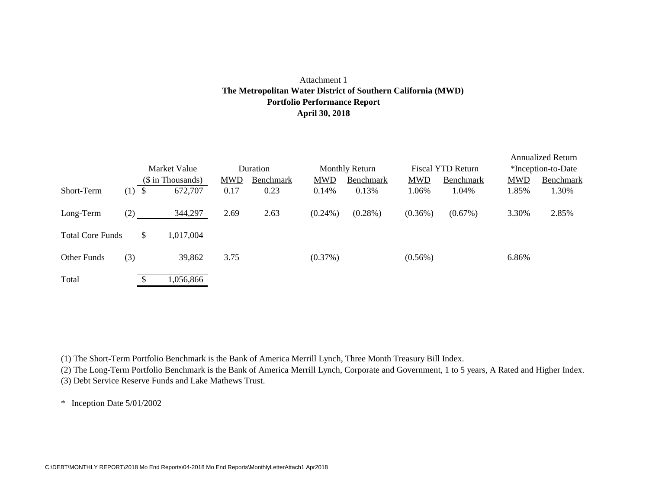### Attachment 1 **Portfolio Performance Report April 30, 2018 The Metropolitan Water District of Southern California (MWD)**

|                         |     |    | Market Value      |            | Duration  |            | <b>Monthly Return</b> |            | <b>Fiscal YTD Return</b> |            | <b>Annualized Return</b><br>*Inception-to-Date |
|-------------------------|-----|----|-------------------|------------|-----------|------------|-----------------------|------------|--------------------------|------------|------------------------------------------------|
|                         |     |    | (\$ in Thousands) | <b>MWD</b> | Benchmark | <b>MWD</b> | Benchmark             | <b>MWD</b> | Benchmark                | <b>MWD</b> | Benchmark                                      |
| Short-Term              | (1) | -S | 672,707           | 0.17       | 0.23      | 0.14%      | 0.13%                 | 1.06%      | 1.04%                    | 1.85%      | 1.30%                                          |
| Long-Term               | (2) |    | 344,297           | 2.69       | 2.63      | $(0.24\%)$ | $(0.28\%)$            | $(0.36\%)$ | $(0.67\%)$               | 3.30%      | 2.85%                                          |
| <b>Total Core Funds</b> |     | \$ | 1,017,004         |            |           |            |                       |            |                          |            |                                                |
| Other Funds             | (3) |    | 39,862            | 3.75       |           | (0.37%)    |                       | $(0.56\%)$ |                          | 6.86%      |                                                |
| Total                   |     |    | 1,056,866         |            |           |            |                       |            |                          |            |                                                |

(1) The Short-Term Portfolio Benchmark is the Bank of America Merrill Lynch, Three Month Treasury Bill Index.

(2) The Long-Term Portfolio Benchmark is the Bank of America Merrill Lynch, Corporate and Government, 1 to 5 years, A Rated and Higher Index. (3) Debt Service Reserve Funds and Lake Mathews Trust.

\* Inception Date 5/01/2002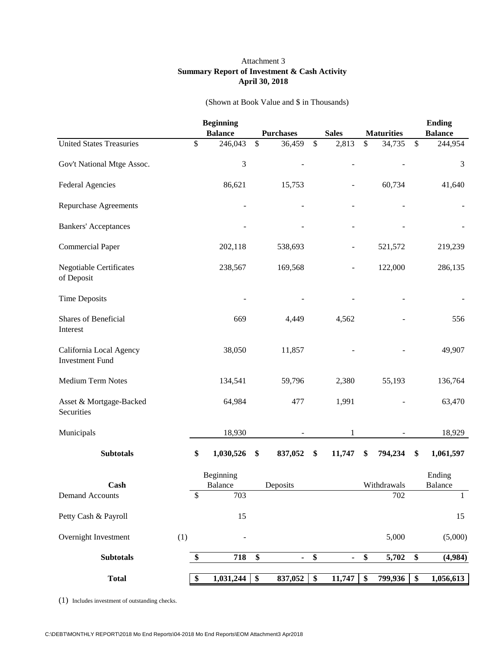#### Attachment 3 **Summary Report of Investment & Cash Activity April 30, 2018**

| (Shown at Book Value and \$ in Thousands) |  |  |
|-------------------------------------------|--|--|
|-------------------------------------------|--|--|

|                                                   |     | <b>Beginning</b> |                 |                  |              |                 |                   | <b>Ending</b>   |
|---------------------------------------------------|-----|------------------|-----------------|------------------|--------------|-----------------|-------------------|-----------------|
|                                                   |     | <b>Balance</b>   |                 | <b>Purchases</b> | <b>Sales</b> |                 | <b>Maturities</b> | <b>Balance</b>  |
| <b>United States Treasuries</b>                   |     | \$<br>246,043    | \$              | 36,459           | \$<br>2,813  | \$              | 34,735            | \$<br>244,954   |
| Gov't National Mtge Assoc.                        |     | 3                |                 |                  |              |                 |                   | 3               |
| <b>Federal Agencies</b>                           |     | 86,621           |                 | 15,753           |              |                 | 60,734            | 41,640          |
| <b>Repurchase Agreements</b>                      |     |                  |                 |                  |              |                 |                   |                 |
| <b>Bankers' Acceptances</b>                       |     |                  |                 |                  |              |                 |                   |                 |
| <b>Commercial Paper</b>                           |     | 202,118          |                 | 538,693          |              |                 | 521,572           | 219,239         |
| <b>Negotiable Certificates</b><br>of Deposit      |     | 238,567          |                 | 169,568          |              |                 | 122,000           | 286,135         |
| <b>Time Deposits</b>                              |     |                  |                 |                  |              |                 |                   |                 |
| Shares of Beneficial<br>Interest                  |     | 669              |                 | 4,449            | 4,562        |                 |                   | 556             |
| California Local Agency<br><b>Investment Fund</b> |     | 38,050           |                 | 11,857           |              |                 |                   | 49,907          |
| Medium Term Notes                                 |     | 134,541          |                 | 59,796           | 2,380        |                 | 55,193            | 136,764         |
| Asset & Mortgage-Backed<br>Securities             |     | 64,984           |                 | 477              | 1,991        |                 |                   | 63,470          |
| Municipals                                        |     | 18,930           |                 |                  | 1            |                 |                   | 18,929          |
| <b>Subtotals</b>                                  |     | \$<br>1,030,526  | \$              | 837,052          | \$<br>11,747 | \$              | 794,234           | \$<br>1,061,597 |
|                                                   |     | Beginning        |                 |                  |              |                 |                   | Ending          |
| Cash                                              |     | Balance          |                 | Deposits         |              |                 | Withdrawals       | Balance         |
| <b>Demand Accounts</b>                            |     | \$<br>703        |                 |                  |              |                 | 702               | $\mathbf{1}$    |
| Petty Cash & Payroll                              |     | 15               |                 |                  |              |                 |                   | 15              |
| Overnight Investment                              | (1) |                  |                 |                  |              |                 | 5,000             | (5,000)         |
| <b>Subtotals</b>                                  |     | \$<br>718        | \$              | $\blacksquare$   | \$           | \$              | 5,702             | \$<br>(4,984)   |
|                                                   |     |                  |                 |                  |              |                 |                   |                 |
| <b>Total</b>                                      |     | \$<br>1,031,244  | $\overline{\$}$ | 837,052          | \$<br>11,747 | $\overline{\$}$ | 799,936           | \$<br>1,056,613 |

(1) Includes investment of outstanding checks.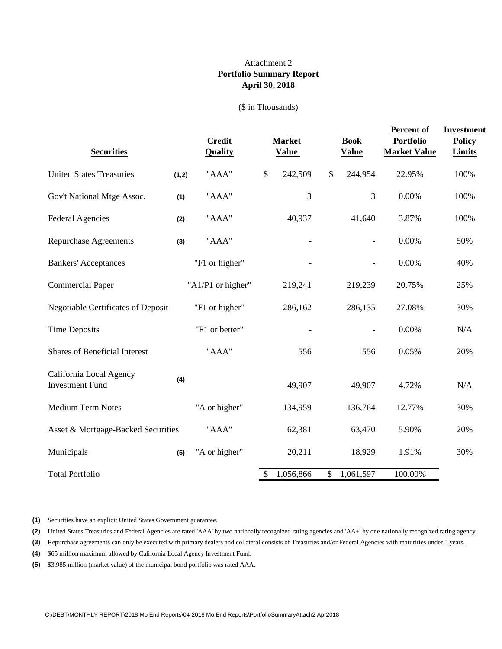### **Portfolio Summary Report April 30, 2018** Attachment 2

#### (\$ in Thousands)

| <b>Securities</b>                                 |       | <b>Credit</b><br><b>Quality</b> | <b>Market</b><br><b>Value</b> | <b>Book</b><br><b>Value</b> | <b>Percent of</b><br><b>Portfolio</b><br><b>Market Value</b> | <b>Investment</b><br><b>Policy</b><br><b>Limits</b> |
|---------------------------------------------------|-------|---------------------------------|-------------------------------|-----------------------------|--------------------------------------------------------------|-----------------------------------------------------|
| <b>United States Treasuries</b>                   | (1,2) | "AAA"                           | \$<br>242,509                 | \$<br>244,954               | 22.95%                                                       | 100%                                                |
| Gov't National Mtge Assoc.                        | (1)   | "AAA"                           | 3                             | 3                           | 0.00%                                                        | 100%                                                |
| <b>Federal Agencies</b>                           | (2)   | "AAA"                           | 40,937                        | 41,640                      | 3.87%                                                        | 100%                                                |
| <b>Repurchase Agreements</b>                      | (3)   | "AAA"                           |                               |                             | 0.00%                                                        | 50%                                                 |
| <b>Bankers' Acceptances</b>                       |       | "F1 or higher"                  |                               |                             | 0.00%                                                        | 40%                                                 |
| <b>Commercial Paper</b>                           |       | "A1/P1 or higher"               | 219,241                       | 219,239                     | 20.75%                                                       | 25%                                                 |
| <b>Negotiable Certificates of Deposit</b>         |       | "F1 or higher"                  | 286,162                       | 286,135                     | 27.08%                                                       | 30%                                                 |
| <b>Time Deposits</b>                              |       | "F1 or better"                  |                               |                             | 0.00%                                                        | N/A                                                 |
| <b>Shares of Beneficial Interest</b>              |       | "AAA"                           | 556                           | 556                         | 0.05%                                                        | 20%                                                 |
| California Local Agency<br><b>Investment Fund</b> | (4)   |                                 | 49,907                        | 49,907                      | 4.72%                                                        | N/A                                                 |
| <b>Medium Term Notes</b>                          |       | "A or higher"                   | 134,959                       | 136,764                     | 12.77%                                                       | 30%                                                 |
| Asset & Mortgage-Backed Securities                |       | "AAA"                           | 62,381                        | 63,470                      | 5.90%                                                        | 20%                                                 |
| Municipals                                        | (5)   | "A or higher"                   | 20,211                        | 18,929                      | 1.91%                                                        | 30%                                                 |
| <b>Total Portfolio</b>                            |       |                                 | \$<br>1,056,866               | \$<br>1,061,597             | 100.00%                                                      |                                                     |

**(1)** Securities have an explicit United States Government guarantee.

**(2)** United States Treasuries and Federal Agencies are rated 'AAA' by two nationally recognized rating agencies and 'AA+' by one nationally recognized rating agency.

**(3)** Repurchase agreements can only be executed with primary dealers and collateral consists of Treasuries and/or Federal Agencies with maturities under 5 years.

**(4)** \$65 million maximum allowed by California Local Agency Investment Fund.

**(5)** \$3.985 million (market value) of the municipal bond portfolio was rated AAA.